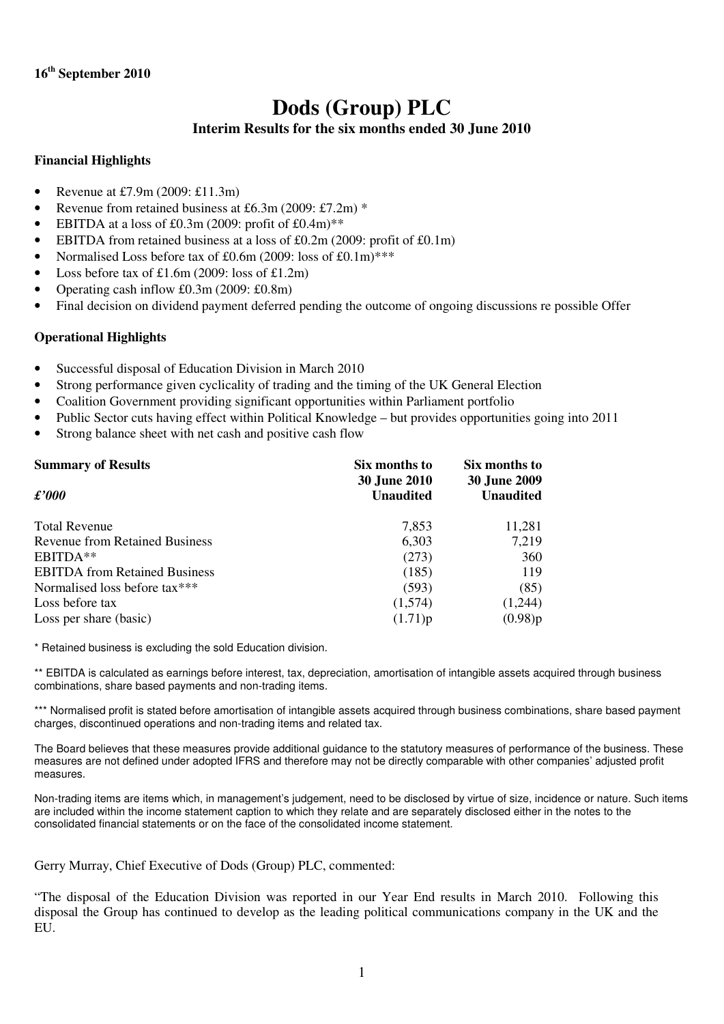# **Dods (Group) PLC Interim Results for the six months ended 30 June 2010**

# **Financial Highlights**

- Revenue at £7.9m (2009: £11.3m)
- Revenue from retained business at £6.3m (2009: £7.2m)  $*$
- EBITDA at a loss of £0.3m (2009: profit of  $£0.4m$ )\*\*
- EBITDA from retained business at a loss of  $£0.2m$  (2009: profit of  $£0.1m$ )
- Normalised Loss before tax of £0.6m (2009: loss of £0.1m)\*\*\*
- Loss before tax of  $£1.6m$  (2009: loss of £1.2m)
- Operating cash inflow £0.3m (2009: £0.8m)
- Final decision on dividend payment deferred pending the outcome of ongoing discussions reprossible Offer

# **Operational Highlights**

- Successful disposal of Education Division in March 2010
- Strong performance given cyclicality of trading and the timing of the UK General Election
- Coalition Government providing significant opportunities within Parliament portfolio
- Public Sector cuts having effect within Political Knowledge but provides opportunities going into 2011
- Strong balance sheet with net cash and positive cash flow

| <b>Summary of Results</b>            | Six months to<br><b>30 June 2010</b> | Six months to<br><b>30 June 2009</b> |
|--------------------------------------|--------------------------------------|--------------------------------------|
| $\pounds 000$                        | <b>Unaudited</b>                     | <b>Unaudited</b>                     |
| <b>Total Revenue</b>                 | 7,853                                | 11,281                               |
| Revenue from Retained Business       | 6,303                                | 7,219                                |
| EBITDA**                             | (273)                                | 360                                  |
| <b>EBITDA</b> from Retained Business | (185)                                | 119                                  |
| Normalised loss before tax***        | (593)                                | (85)                                 |
| Loss before tax                      | (1,574)                              | (1,244)                              |
| Loss per share (basic)               | (1.71)p                              | (0.98)p                              |

\* Retained business is excluding the sold Education division.

\*\* EBITDA is calculated as earnings before interest, tax, depreciation, amortisation of intangible assets acquired through business combinations, share based payments and non-trading items.

\*\*\* Normalised profit is stated before amortisation of intangible assets acquired through business combinations, share based payment charges, discontinued operations and non-trading items and related tax.

The Board believes that these measures provide additional guidance to the statutory measures of performance of the business. These measures are not defined under adopted IFRS and therefore may not be directly comparable with other companies' adjusted profit measures.

Non-trading items are items which, in management's judgement, need to be disclosed by virtue of size, incidence or nature. Such items are included within the income statement caption to which they relate and are separately disclosed either in the notes to the consolidated financial statements or on the face of the consolidated income statement.

Gerry Murray, Chief Executive of Dods (Group) PLC, commented:

"The disposal of the Education Division was reported in our Year End results in March 2010. Following this disposal the Group has continued to develop as the leading political communications company in the UK and the EU.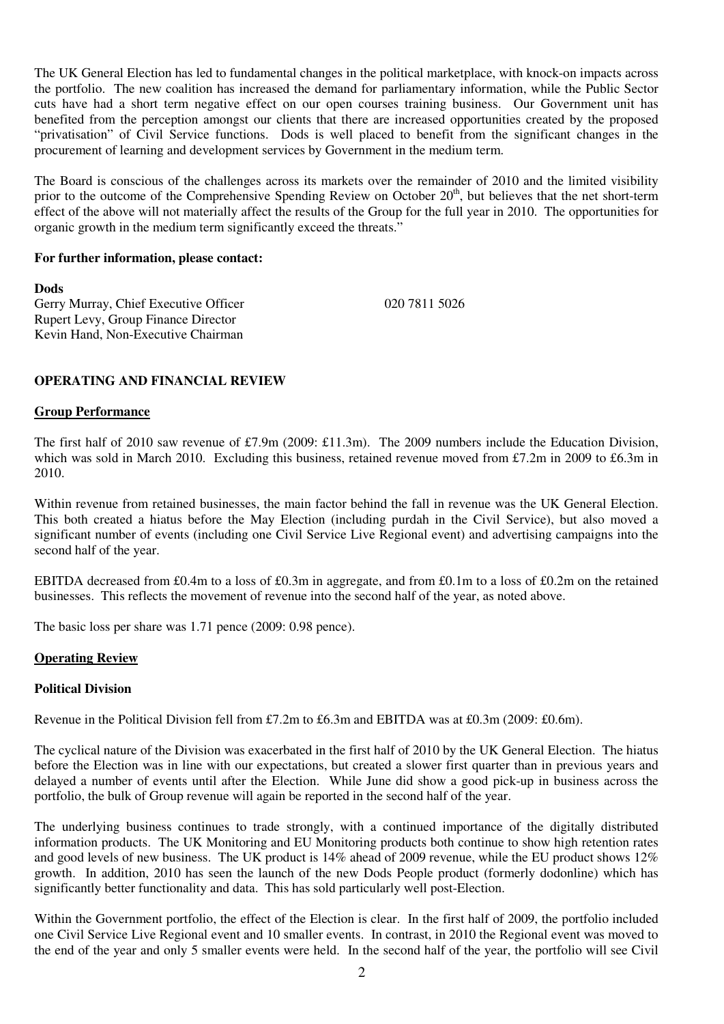The UK General Election has led to fundamental changes in the political marketplace, with knock-on impacts across the portfolio. The new coalition has increased the demand for parliamentary information, while the Public Sector cuts have had a short term negative effect on our open courses training business. Our Government unit has benefited from the perception amongst our clients that there are increased opportunities created by the proposed "privatisation" of Civil Service functions. Dods is well placed to benefit from the significant changes in the procurement of learning and development services by Government in the medium term.

The Board is conscious of the challenges across its markets over the remainder of 2010 and the limited visibility prior to the outcome of the Comprehensive Spending Review on October 20<sup>th</sup>, but believes that the net short-term effect of the above will not materially affect the results of the Group for the full year in 2010. The opportunities for organic growth in the medium term significantly exceed the threats."

### **For further information, please contact:**

**Dods**  Gerry Murray, Chief Executive Officer 020 7811 5026 Rupert Levy, Group Finance Director Kevin Hand, Non-Executive Chairman

# **OPERATING AND FINANCIAL REVIEW**

### **Group Performance**

The first half of 2010 saw revenue of £7.9m (2009: £11.3m). The 2009 numbers include the Education Division, which was sold in March 2010. Excluding this business, retained revenue moved from £7.2m in 2009 to £6.3m in 2010.

Within revenue from retained businesses, the main factor behind the fall in revenue was the UK General Election. This both created a hiatus before the May Election (including purdah in the Civil Service), but also moved a significant number of events (including one Civil Service Live Regional event) and advertising campaigns into the second half of the year.

EBITDA decreased from £0.4m to a loss of £0.3m in aggregate, and from £0.1m to a loss of £0.2m on the retained businesses. This reflects the movement of revenue into the second half of the year, as noted above.

The basic loss per share was 1.71 pence (2009: 0.98 pence).

### **Operating Review**

### **Political Division**

Revenue in the Political Division fell from £7.2m to £6.3m and EBITDA was at £0.3m (2009: £0.6m).

The cyclical nature of the Division was exacerbated in the first half of 2010 by the UK General Election. The hiatus before the Election was in line with our expectations, but created a slower first quarter than in previous years and delayed a number of events until after the Election. While June did show a good pick-up in business across the portfolio, the bulk of Group revenue will again be reported in the second half of the year.

The underlying business continues to trade strongly, with a continued importance of the digitally distributed information products. The UK Monitoring and EU Monitoring products both continue to show high retention rates and good levels of new business. The UK product is 14% ahead of 2009 revenue, while the EU product shows 12% growth. In addition, 2010 has seen the launch of the new Dods People product (formerly dodonline) which has significantly better functionality and data. This has sold particularly well post-Election.

Within the Government portfolio, the effect of the Election is clear. In the first half of 2009, the portfolio included one Civil Service Live Regional event and 10 smaller events. In contrast, in 2010 the Regional event was moved to the end of the year and only 5 smaller events were held. In the second half of the year, the portfolio will see Civil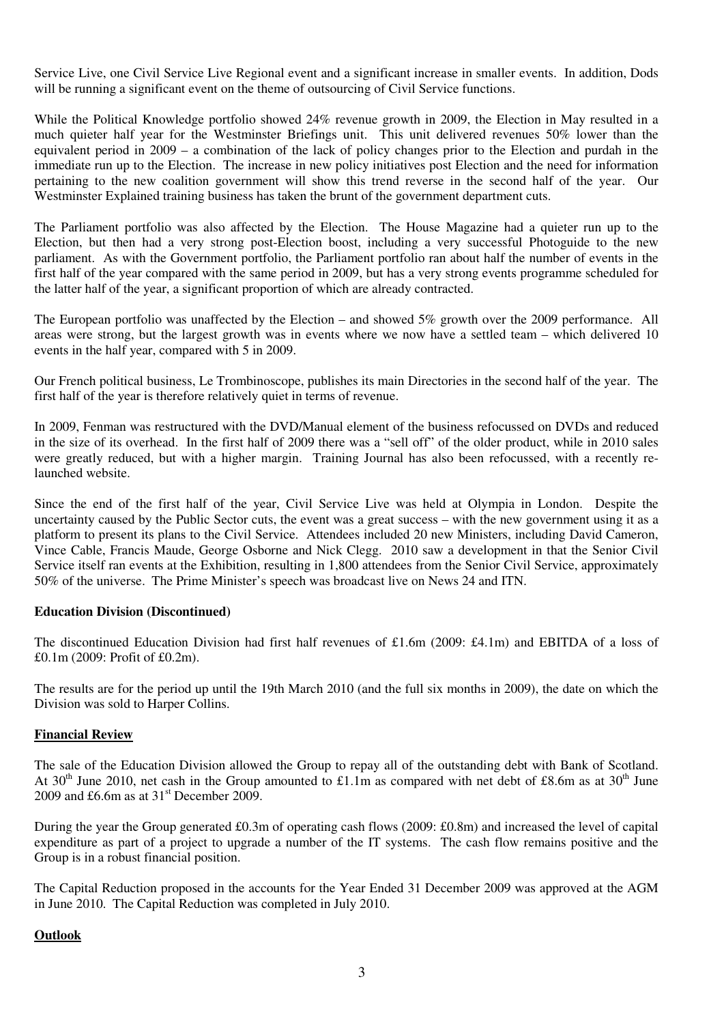Service Live, one Civil Service Live Regional event and a significant increase in smaller events. In addition, Dods will be running a significant event on the theme of outsourcing of Civil Service functions.

While the Political Knowledge portfolio showed 24% revenue growth in 2009, the Election in May resulted in a much quieter half year for the Westminster Briefings unit. This unit delivered revenues 50% lower than the equivalent period in 2009 – a combination of the lack of policy changes prior to the Election and purdah in the immediate run up to the Election. The increase in new policy initiatives post Election and the need for information pertaining to the new coalition government will show this trend reverse in the second half of the year. Our Westminster Explained training business has taken the brunt of the government department cuts.

The Parliament portfolio was also affected by the Election. The House Magazine had a quieter run up to the Election, but then had a very strong post-Election boost, including a very successful Photoguide to the new parliament. As with the Government portfolio, the Parliament portfolio ran about half the number of events in the first half of the year compared with the same period in 2009, but has a very strong events programme scheduled for the latter half of the year, a significant proportion of which are already contracted.

The European portfolio was unaffected by the Election – and showed 5% growth over the 2009 performance. All areas were strong, but the largest growth was in events where we now have a settled team – which delivered 10 events in the half year, compared with 5 in 2009.

Our French political business, Le Trombinoscope, publishes its main Directories in the second half of the year. The first half of the year is therefore relatively quiet in terms of revenue.

In 2009, Fenman was restructured with the DVD/Manual element of the business refocussed on DVDs and reduced in the size of its overhead. In the first half of 2009 there was a "sell off" of the older product, while in 2010 sales were greatly reduced, but with a higher margin. Training Journal has also been refocussed, with a recently relaunched website.

Since the end of the first half of the year, Civil Service Live was held at Olympia in London. Despite the uncertainty caused by the Public Sector cuts, the event was a great success – with the new government using it as a platform to present its plans to the Civil Service. Attendees included 20 new Ministers, including David Cameron, Vince Cable, Francis Maude, George Osborne and Nick Clegg. 2010 saw a development in that the Senior Civil Service itself ran events at the Exhibition, resulting in 1,800 attendees from the Senior Civil Service, approximately 50% of the universe. The Prime Minister's speech was broadcast live on News 24 and ITN.

### **Education Division (Discontinued)**

The discontinued Education Division had first half revenues of £1.6m (2009: £4.1m) and EBITDA of a loss of £0.1m (2009: Profit of £0.2m).

The results are for the period up until the 19th March 2010 (and the full six months in 2009), the date on which the Division was sold to Harper Collins.

### **Financial Review**

The sale of the Education Division allowed the Group to repay all of the outstanding debt with Bank of Scotland. At 30<sup>th</sup> June 2010, net cash in the Group amounted to £1.1m as compared with net debt of £8.6m as at 30<sup>th</sup> June 2009 and £6.6m as at  $31<sup>st</sup>$  December 2009.

During the year the Group generated £0.3m of operating cash flows (2009: £0.8m) and increased the level of capital expenditure as part of a project to upgrade a number of the IT systems. The cash flow remains positive and the Group is in a robust financial position.

The Capital Reduction proposed in the accounts for the Year Ended 31 December 2009 was approved at the AGM in June 2010. The Capital Reduction was completed in July 2010.

# **Outlook**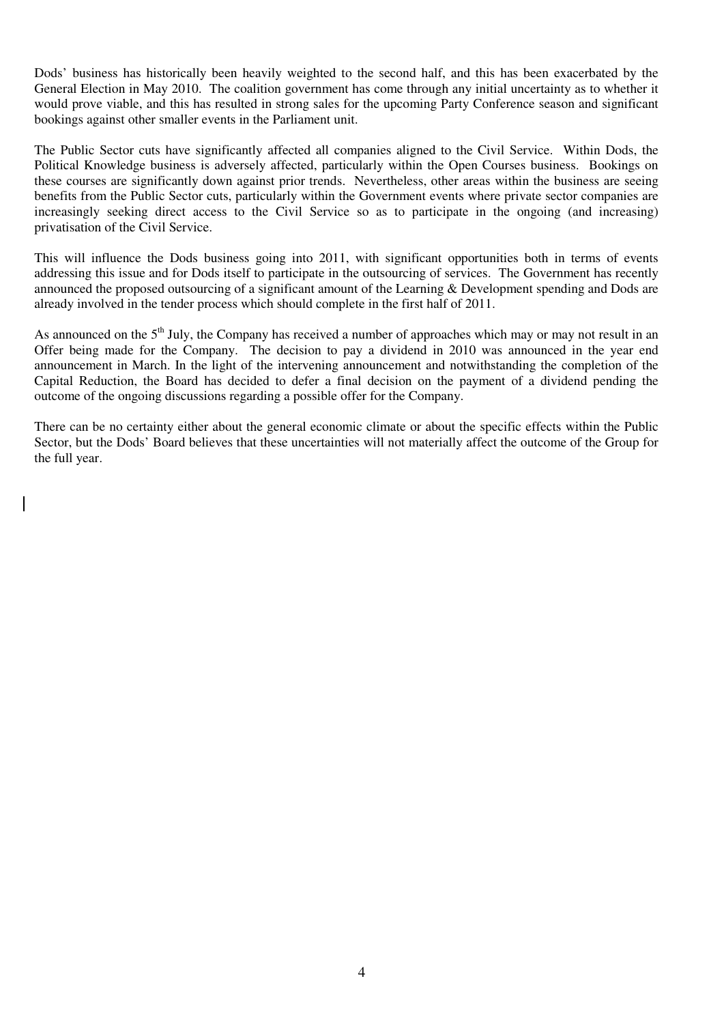Dods' business has historically been heavily weighted to the second half, and this has been exacerbated by the General Election in May 2010. The coalition government has come through any initial uncertainty as to whether it would prove viable, and this has resulted in strong sales for the upcoming Party Conference season and significant bookings against other smaller events in the Parliament unit.

The Public Sector cuts have significantly affected all companies aligned to the Civil Service. Within Dods, the Political Knowledge business is adversely affected, particularly within the Open Courses business. Bookings on these courses are significantly down against prior trends. Nevertheless, other areas within the business are seeing benefits from the Public Sector cuts, particularly within the Government events where private sector companies are increasingly seeking direct access to the Civil Service so as to participate in the ongoing (and increasing) privatisation of the Civil Service.

This will influence the Dods business going into 2011, with significant opportunities both in terms of events addressing this issue and for Dods itself to participate in the outsourcing of services. The Government has recently announced the proposed outsourcing of a significant amount of the Learning & Development spending and Dods are already involved in the tender process which should complete in the first half of 2011.

As announced on the 5<sup>th</sup> July, the Company has received a number of approaches which may or may not result in an Offer being made for the Company. The decision to pay a dividend in 2010 was announced in the year end announcement in March. In the light of the intervening announcement and notwithstanding the completion of the Capital Reduction, the Board has decided to defer a final decision on the payment of a dividend pending the outcome of the ongoing discussions regarding a possible offer for the Company.

There can be no certainty either about the general economic climate or about the specific effects within the Public Sector, but the Dods' Board believes that these uncertainties will not materially affect the outcome of the Group for the full year.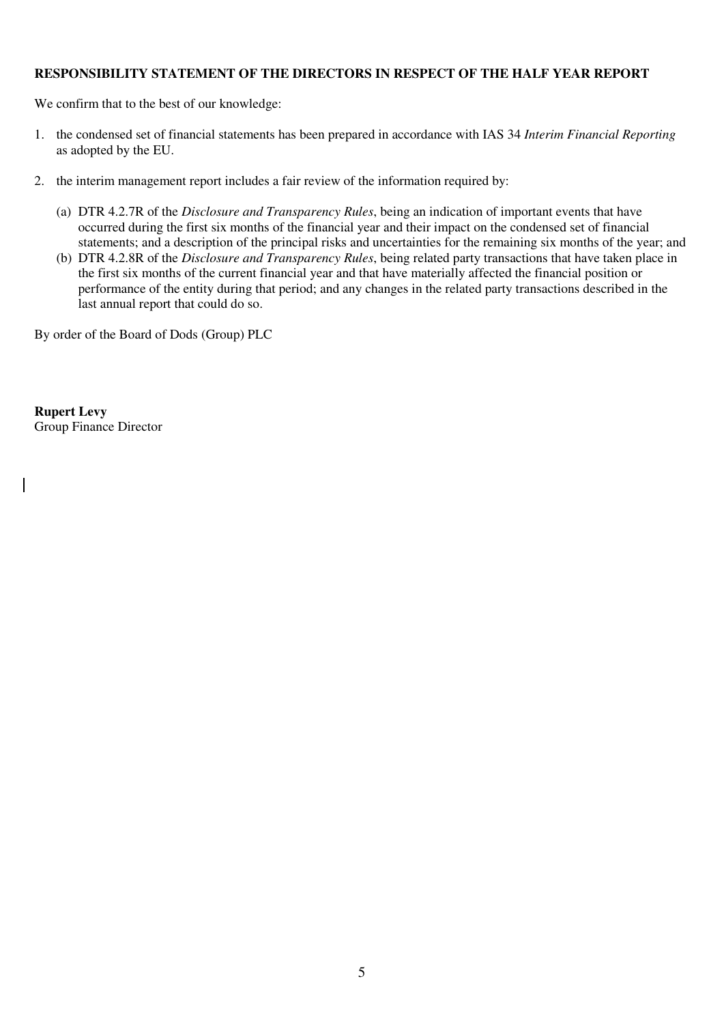# **RESPONSIBILITY STATEMENT OF THE DIRECTORS IN RESPECT OF THE HALF YEAR REPORT**

We confirm that to the best of our knowledge:

- 1. the condensed set of financial statements has been prepared in accordance with IAS 34 *Interim Financial Reporting*  as adopted by the EU.
- 2. the interim management report includes a fair review of the information required by:
	- (a) DTR 4.2.7R of the *Disclosure and Transparency Rules*, being an indication of important events that have occurred during the first six months of the financial year and their impact on the condensed set of financial statements; and a description of the principal risks and uncertainties for the remaining six months of the year; and
	- (b) DTR 4.2.8R of the *Disclosure and Transparency Rules*, being related party transactions that have taken place in the first six months of the current financial year and that have materially affected the financial position or performance of the entity during that period; and any changes in the related party transactions described in the last annual report that could do so.

By order of the Board of Dods (Group) PLC

**Rupert Levy**  Group Finance Director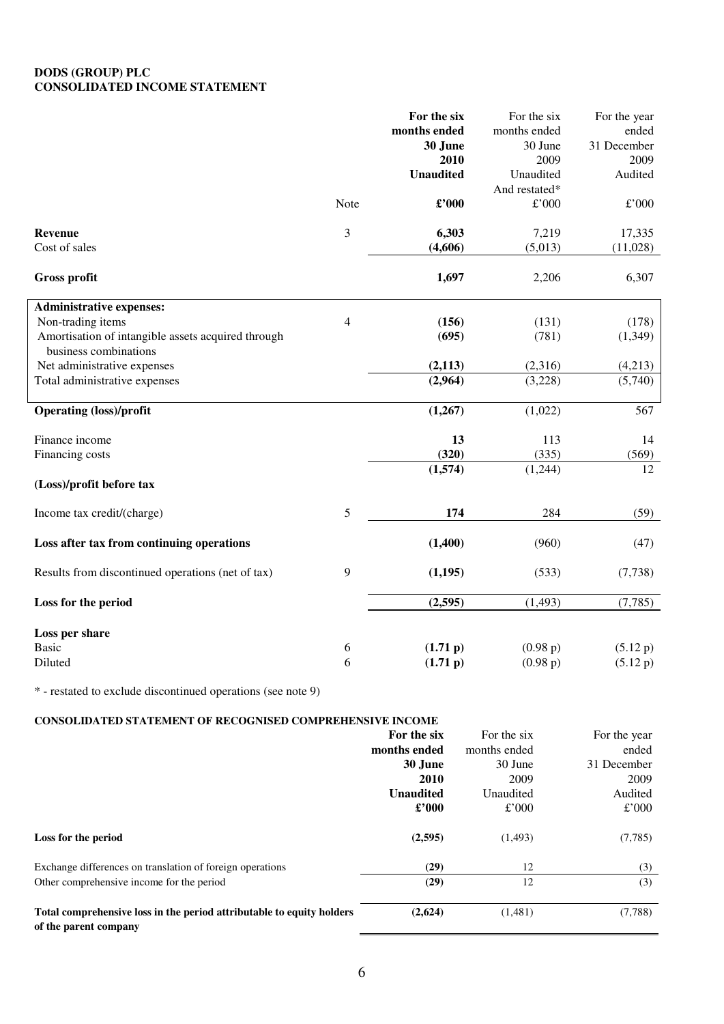### **DODS (GROUP) PLC CONSOLIDATED INCOME STATEMENT**

|                                                                             |                | For the six      | For the six   | For the year  |
|-----------------------------------------------------------------------------|----------------|------------------|---------------|---------------|
|                                                                             |                | months ended     | months ended  | ended         |
|                                                                             |                | 30 June          | 30 June       | 31 December   |
|                                                                             |                | 2010             | 2009          | 2009          |
|                                                                             |                | <b>Unaudited</b> | Unaudited     | Audited       |
|                                                                             |                |                  | And restated* |               |
|                                                                             | Note           | £'000            | $\pounds$ 000 | $\pounds$ 000 |
| <b>Revenue</b>                                                              | 3              | 6,303            | 7,219         | 17,335        |
| Cost of sales                                                               |                | (4,606)          | (5,013)       | (11,028)      |
| <b>Gross profit</b>                                                         |                | 1,697            | 2,206         | 6,307         |
| <b>Administrative expenses:</b>                                             |                |                  |               |               |
| Non-trading items                                                           | $\overline{4}$ | (156)            | (131)         | (178)         |
| Amortisation of intangible assets acquired through<br>business combinations |                | (695)            | (781)         | (1,349)       |
| Net administrative expenses                                                 |                | (2, 113)         | (2,316)       | (4,213)       |
| Total administrative expenses                                               |                | (2,964)          | (3,228)       | (5,740)       |
| <b>Operating (loss)/profit</b>                                              |                | (1,267)          | (1,022)       | 567           |
| Finance income                                                              |                | 13               | 113           | 14            |
| Financing costs                                                             |                | (320)            | (335)         | (569)         |
|                                                                             |                | (1,574)          | (1,244)       | 12            |
| (Loss)/profit before tax                                                    |                |                  |               |               |
| Income tax credit/(charge)                                                  | 5              | 174              | 284           | (59)          |
| Loss after tax from continuing operations                                   |                | (1,400)          | (960)         | (47)          |
| Results from discontinued operations (net of tax)                           | 9              | (1, 195)         | (533)         | (7, 738)      |
| Loss for the period                                                         |                | (2, 595)         | (1, 493)      | (7, 785)      |
| Loss per share                                                              |                |                  |               |               |
| <b>Basic</b>                                                                | 6              | (1.71 p)         | (0.98 p)      | (5.12 p)      |
| Diluted                                                                     | 6              | (1.71 p)         | (0.98 p)      | (5.12 p)      |
|                                                                             |                |                  |               |               |

\* - restated to exclude discontinued operations (see note 9)

### **CONSOLIDATED STATEMENT OF RECOGNISED COMPREHENSIVE INCOME**

|                                                                                                | For the six      | For the six  | For the year |
|------------------------------------------------------------------------------------------------|------------------|--------------|--------------|
|                                                                                                | months ended     | months ended | ended        |
|                                                                                                | 30 June          | 30 June      | 31 December  |
|                                                                                                | 2010             | 2009         | 2009         |
|                                                                                                | <b>Unaudited</b> | Unaudited    | Audited      |
|                                                                                                | $\pounds$ '000   | £'000        | £'000        |
| Loss for the period                                                                            | (2,595)          | (1, 493)     | (7,785)      |
| Exchange differences on translation of foreign operations                                      | (29)             | 12           | (3)          |
| Other comprehensive income for the period                                                      | (29)             | 12           | (3)          |
| Total comprehensive loss in the period attributable to equity holders<br>of the parent company | (2,624)          | (1,481)      | (7,788)      |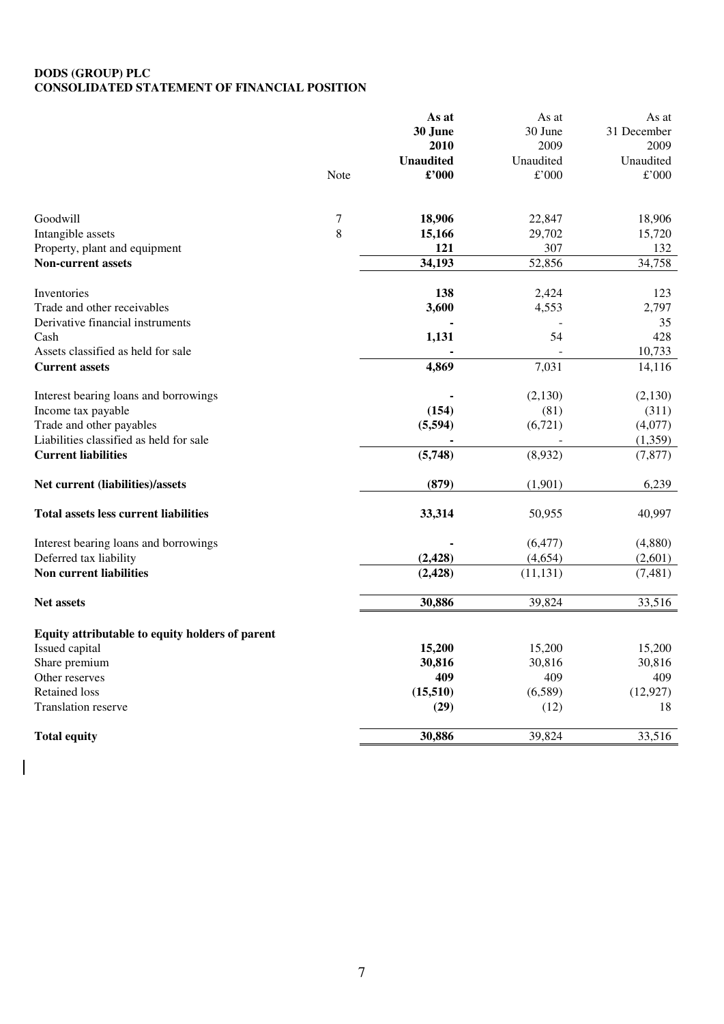### **DODS (GROUP) PLC CONSOLIDATED STATEMENT OF FINANCIAL POSITION**

|                                                 |        | As at            | As at     | As at       |
|-------------------------------------------------|--------|------------------|-----------|-------------|
|                                                 |        | 30 June          | 30 June   | 31 December |
|                                                 |        | 2010             | 2009      | 2009        |
|                                                 |        | <b>Unaudited</b> | Unaudited | Unaudited   |
|                                                 | Note   | £'000            | £'000     | £'000       |
| Goodwill                                        | $\tau$ | 18,906           | 22,847    | 18,906      |
| Intangible assets                               | 8      | 15,166           | 29,702    | 15,720      |
| Property, plant and equipment                   |        | 121              | 307       | 132         |
| <b>Non-current assets</b>                       |        | 34,193           | 52,856    | 34,758      |
| Inventories                                     |        | 138              | 2,424     | 123         |
| Trade and other receivables                     |        | 3,600            | 4,553     | 2,797       |
| Derivative financial instruments                |        |                  |           | 35          |
| Cash                                            |        | 1,131            | 54        | 428         |
| Assets classified as held for sale              |        |                  |           | 10,733      |
| <b>Current assets</b>                           |        | 4,869            | 7,031     | 14,116      |
| Interest bearing loans and borrowings           |        |                  | (2,130)   | (2, 130)    |
| Income tax payable                              |        | (154)            | (81)      | (311)       |
| Trade and other payables                        |        | (5, 594)         | (6,721)   | (4,077)     |
| Liabilities classified as held for sale         |        |                  |           | (1,359)     |
| <b>Current liabilities</b>                      |        | (5,748)          | (8,932)   | (7, 877)    |
| Net current (liabilities)/assets                |        | (879)            | (1,901)   | 6,239       |
| <b>Total assets less current liabilities</b>    |        | 33,314           | 50,955    | 40,997      |
| Interest bearing loans and borrowings           |        |                  | (6, 477)  | (4,880)     |
| Deferred tax liability                          |        | (2, 428)         | (4,654)   | (2,601)     |
| Non current liabilities                         |        | (2, 428)         | (11, 131) | (7, 481)    |
| <b>Net assets</b>                               |        | 30,886           | 39,824    | 33,516      |
| Equity attributable to equity holders of parent |        |                  |           |             |
| Issued capital                                  |        | 15,200           | 15,200    | 15,200      |
| Share premium                                   |        | 30,816           | 30,816    | 30,816      |
| Other reserves                                  |        | 409              | 409       | 409         |
| <b>Retained loss</b>                            |        | (15, 510)        | (6,589)   | (12, 927)   |
| <b>Translation reserve</b>                      |        | (29)             | (12)      | 18          |
| <b>Total equity</b>                             |        | 30,886           | 39,824    | 33,516      |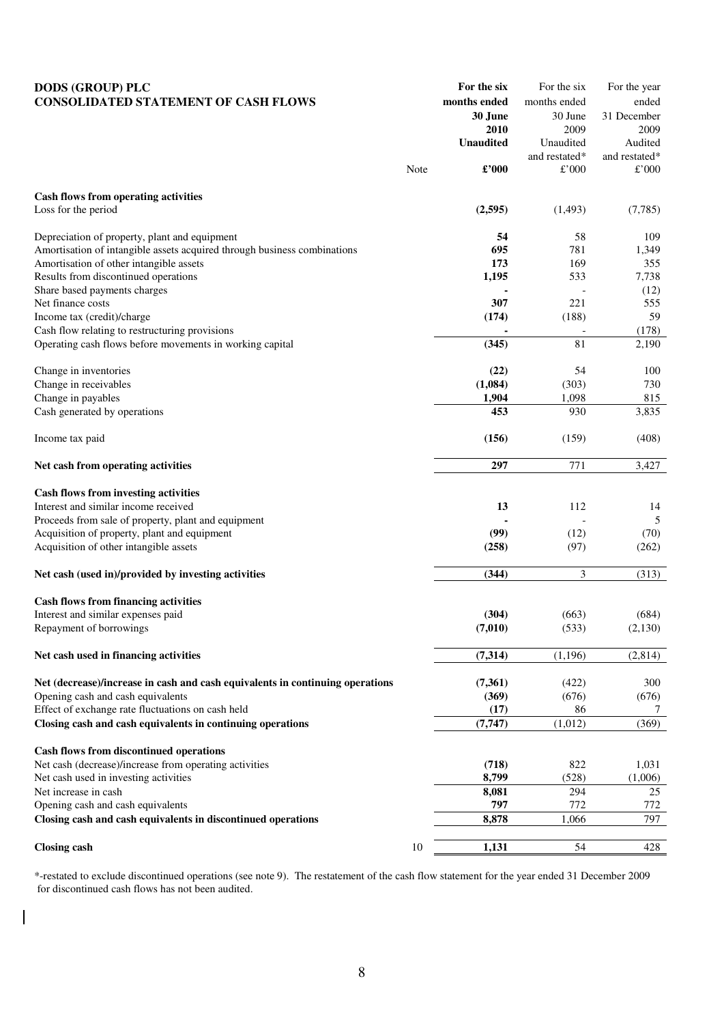| <b>DODS (GROUP) PLC</b>                                                       |      | For the six      | For the six              | For the year        |
|-------------------------------------------------------------------------------|------|------------------|--------------------------|---------------------|
| <b>CONSOLIDATED STATEMENT OF CASH FLOWS</b>                                   |      | months ended     | months ended             | ended               |
|                                                                               |      | 30 June<br>2010  | 30 June<br>2009          | 31 December<br>2009 |
|                                                                               |      | <b>Unaudited</b> | Unaudited                | Audited             |
|                                                                               |      |                  | and restated*            | and restated*       |
|                                                                               | Note | £'000            | £'000                    | £'000               |
| Cash flows from operating activities                                          |      |                  |                          |                     |
| Loss for the period                                                           |      | (2,595)          | (1,493)                  | (7,785)             |
|                                                                               |      |                  |                          |                     |
| Depreciation of property, plant and equipment                                 |      | 54               | 58                       | 109                 |
| Amortisation of intangible assets acquired through business combinations      |      | 695              | 781                      | 1,349               |
| Amortisation of other intangible assets                                       |      | 173              | 169                      | 355                 |
| Results from discontinued operations                                          |      | 1,195            | 533                      | 7,738               |
| Share based payments charges                                                  |      |                  |                          | (12)                |
| Net finance costs                                                             |      | 307              | 221                      | 555                 |
| Income tax (credit)/charge                                                    |      | (174)            | (188)                    | 59                  |
| Cash flow relating to restructuring provisions                                |      |                  | $\overline{\phantom{a}}$ | (178)               |
| Operating cash flows before movements in working capital                      |      | (345)            | 81                       | 2,190               |
| Change in inventories                                                         |      | (22)             | 54                       | 100                 |
| Change in receivables                                                         |      | (1,084)          | (303)                    | 730                 |
| Change in payables                                                            |      | 1,904            | 1,098                    | 815                 |
| Cash generated by operations                                                  |      | 453              | 930                      | 3,835               |
|                                                                               |      |                  |                          |                     |
| Income tax paid                                                               |      | (156)            | (159)                    | (408)               |
| Net cash from operating activities                                            |      | 297              | 771                      | 3,427               |
|                                                                               |      |                  |                          |                     |
| Cash flows from investing activities                                          |      |                  |                          |                     |
| Interest and similar income received                                          |      | 13               | 112                      | 14                  |
| Proceeds from sale of property, plant and equipment                           |      |                  |                          | 5                   |
| Acquisition of property, plant and equipment                                  |      | (99)             | (12)                     | (70)                |
| Acquisition of other intangible assets                                        |      | (258)            | (97)                     | (262)               |
| Net cash (used in)/provided by investing activities                           |      | (344)            | 3                        | (313)               |
| <b>Cash flows from financing activities</b>                                   |      |                  |                          |                     |
| Interest and similar expenses paid                                            |      | (304)            | (663)                    | (684)               |
| Repayment of borrowings                                                       |      | (7,010)          | (533)                    | (2,130)             |
| Net cash used in financing activities                                         |      | (7, 314)         | (1, 196)                 | (2,814)             |
|                                                                               |      |                  |                          |                     |
| Net (decrease)/increase in cash and cash equivalents in continuing operations |      | (7,361)          | (422)                    | 300                 |
| Opening cash and cash equivalents                                             |      | (369)            | (676)                    | (676)               |
| Effect of exchange rate fluctuations on cash held                             |      | (17)             | 86                       | $\frac{1}{2}$       |
| Closing cash and cash equivalents in continuing operations                    |      | (7, 747)         | (1,012)                  | (369)               |
| <b>Cash flows from discontinued operations</b>                                |      |                  |                          |                     |
| Net cash (decrease)/increase from operating activities                        |      |                  | 822                      | 1,031               |
| Net cash used in investing activities                                         |      | (718)<br>8,799   | (528)                    | (1,006)             |
| Net increase in cash                                                          |      | 8,081            | 294                      | 25                  |
| Opening cash and cash equivalents                                             |      | 797              | 772                      | 772                 |
| Closing cash and cash equivalents in discontinued operations                  |      | 8,878            | 1,066                    | 797                 |
|                                                                               |      |                  |                          |                     |
| <b>Closing cash</b>                                                           | 10   | 1,131            | 54                       | 428                 |

\*-restated to exclude discontinued operations (see note 9). The restatement of the cash flow statement for the year ended 31 December 2009 for discontinued cash flows has not been audited.

 $\overline{\phantom{a}}$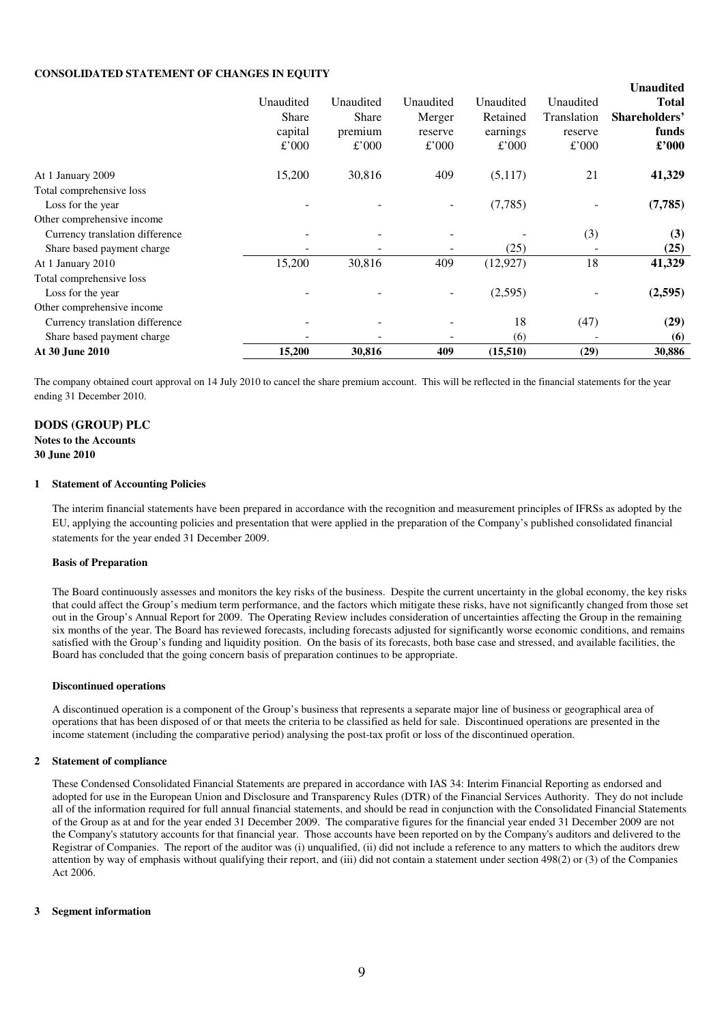#### **CONSOLIDATED STATEMENT OF CHANGES IN EQUITY**

|                                 |              |              |           |           |             | <b>Unaudited</b> |
|---------------------------------|--------------|--------------|-----------|-----------|-------------|------------------|
|                                 | Unaudited    | Unaudited    | Unaudited | Unaudited | Unaudited   | <b>Total</b>     |
|                                 | <b>Share</b> | <b>Share</b> | Merger    | Retained  | Translation | Shareholders'    |
|                                 | capital      | premium      | reserve   | earnings  | reserve     | funds            |
|                                 | £'000        | £'000        | £'000     | £'000     | £'000       | $\pounds$ '000   |
| At 1 January 2009               | 15,200       | 30,816       | 409       | (5,117)   | 21          | 41,329           |
| Total comprehensive loss        |              |              |           |           |             |                  |
| Loss for the year               |              |              |           | (7,785)   |             | (7,785)          |
| Other comprehensive income      |              |              |           |           |             |                  |
| Currency translation difference |              |              |           |           | (3)         | (3)              |
| Share based payment charge      |              |              |           | (25)      |             | (25)             |
| At 1 January 2010               | 15,200       | 30,816       | 409       | (12, 927) | 18          | 41,329           |
| Total comprehensive loss        |              |              |           |           |             |                  |
| Loss for the year               |              |              |           | (2,595)   |             | (2,595)          |
| Other comprehensive income      |              |              |           |           |             |                  |
| Currency translation difference |              |              |           | 18        | (47)        | (29)             |
| Share based payment charge      |              |              |           | (6)       |             | (6)              |
| At 30 June 2010                 | 15,200       | 30,816       | 409       | (15,510)  | (29)        | 30,886           |

The company obtained court approval on 14 July 2010 to cancel the share premium account. This will be reflected in the financial statements for the year ending 31 December 2010.

# **DODS (GROUP) PLC**

### **Notes to the Accounts 30 June 2010**

#### **1 Statement of Accounting Policies**

The interim financial statements have been prepared in accordance with the recognition and measurement principles of IFRSs as adopted by the EU, applying the accounting policies and presentation that were applied in the preparation of the Company's published consolidated financial statements for the year ended 31 December 2009.

#### **Basis of Preparation**

The Board continuously assesses and monitors the key risks of the business. Despite the current uncertainty in the global economy, the key risks that could affect the Group's medium term performance, and the factors which mitigate these risks, have not significantly changed from those set out in the Group's Annual Report for 2009. The Operating Review includes consideration of uncertainties affecting the Group in the remaining six months of the year. The Board has reviewed forecasts, including forecasts adjusted for significantly worse economic conditions, and remains satisfied with the Group's funding and liquidity position. On the basis of its forecasts, both base case and stressed, and available facilities, the Board has concluded that the going concern basis of preparation continues to be appropriate.

#### **Discontinued operations**

A discontinued operation is a component of the Group's business that represents a separate major line of business or geographical area of operations that has been disposed of or that meets the criteria to be classified as held for sale. Discontinued operations are presented in the income statement (including the comparative period) analysing the post-tax profit or loss of the discontinued operation.

#### **2 Statement of compliance**

These Condensed Consolidated Financial Statements are prepared in accordance with IAS 34: Interim Financial Reporting as endorsed and adopted for use in the European Union and Disclosure and Transparency Rules (DTR) of the Financial Services Authority. They do not include all of the information required for full annual financial statements, and should be read in conjunction with the Consolidated Financial Statements of the Group as at and for the year ended 31 December 2009. The comparative figures for the financial year ended 31 December 2009 are not the Company's statutory accounts for that financial year. Those accounts have been reported on by the Company's auditors and delivered to the Registrar of Companies. The report of the auditor was (i) unqualified, (ii) did not include a reference to any matters to which the auditors drew attention by way of emphasis without qualifying their report, and (iii) did not contain a statement under section 498(2) or (3) of the Companies Act 2006.

#### **3 Segment information**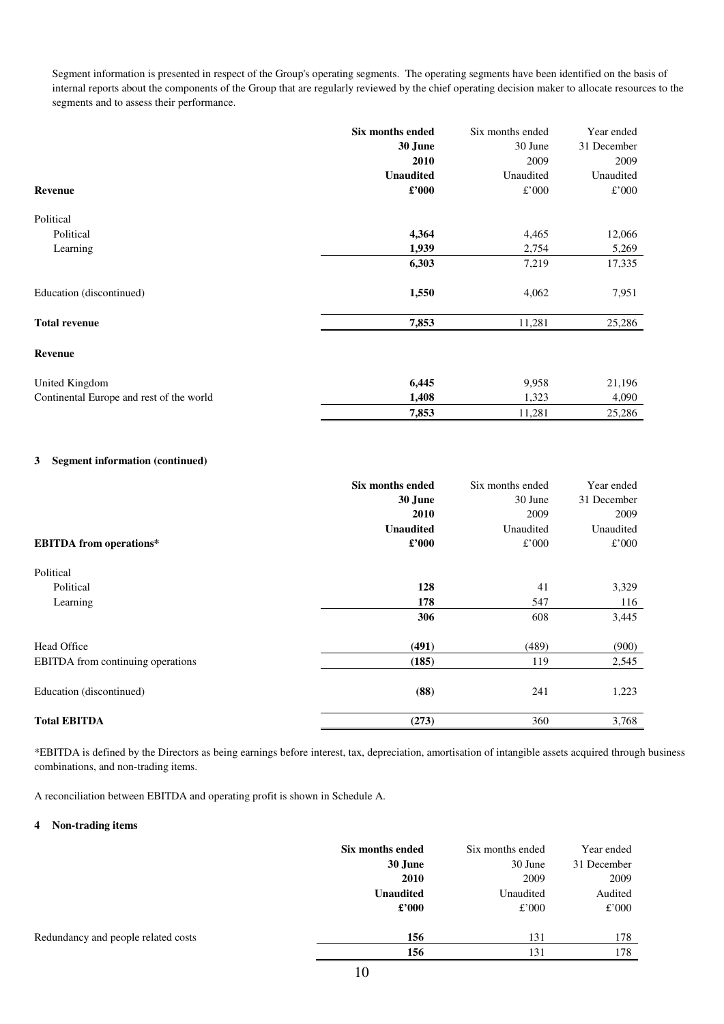Segment information is presented in respect of the Group's operating segments. The operating segments have been identified on the basis of internal reports about the components of the Group that are regularly reviewed by the chief operating decision maker to allocate resources to the segments and to assess their performance.

|                                          | Six months ended | Six months ended | Year ended  |
|------------------------------------------|------------------|------------------|-------------|
|                                          | 30 June          | 30 June          | 31 December |
|                                          | 2010             | 2009             | 2009        |
|                                          | <b>Unaudited</b> | Unaudited        | Unaudited   |
| Revenue                                  | $\pounds$ '000   | £'000            | £'000       |
| Political                                |                  |                  |             |
| Political                                | 4,364            | 4,465            | 12,066      |
| Learning                                 | 1,939            | 2,754            | 5,269       |
|                                          | 6,303            | 7,219            | 17,335      |
| Education (discontinued)                 | 1,550            | 4,062            | 7,951       |
| <b>Total revenue</b>                     | 7,853            | 11,281           | 25,286      |
| Revenue                                  |                  |                  |             |
| United Kingdom                           | 6,445            | 9,958            | 21,196      |
| Continental Europe and rest of the world | 1,408            | 1,323            | 4,090       |
|                                          | 7,853            | 11,281           | 25,286      |

### **3 Segment information (continued)**

|                                   | Six months ended | Six months ended | Year ended  |
|-----------------------------------|------------------|------------------|-------------|
|                                   | 30 June          | 30 June          | 31 December |
|                                   | 2010             | 2009             | 2009        |
|                                   | <b>Unaudited</b> | Unaudited        | Unaudited   |
| <b>EBITDA</b> from operations*    | $\pounds$ '000   | £'000            | £'000       |
| Political                         |                  |                  |             |
| Political                         | 128              | 41               | 3,329       |
| Learning                          | 178              | 547              | 116         |
|                                   | 306              | 608              | 3,445       |
| Head Office                       | (491)            | (489)            | (900)       |
| EBITDA from continuing operations | (185)            | 119              | 2,545       |
| Education (discontinued)          | (88)             | 241              | 1,223       |
| <b>Total EBITDA</b>               | (273)            | 360              | 3,768       |

\*EBITDA is defined by the Directors as being earnings before interest, tax, depreciation, amortisation of intangible assets acquired through business combinations, and non-trading items.

A reconciliation between EBITDA and operating profit is shown in Schedule A.

#### **4 Non-trading items**

|                                     | Six months ended | Six months ended | Year ended  |
|-------------------------------------|------------------|------------------|-------------|
|                                     | 30 June          | 30 June          | 31 December |
|                                     | 2010             | 2009             | 2009        |
|                                     | <b>Unaudited</b> | Unaudited        | Audited     |
|                                     | $\pounds$ '000   | £'000            | £'000       |
| Redundancy and people related costs | 156              | 131              | 178         |
|                                     | 156              | 131              | 178         |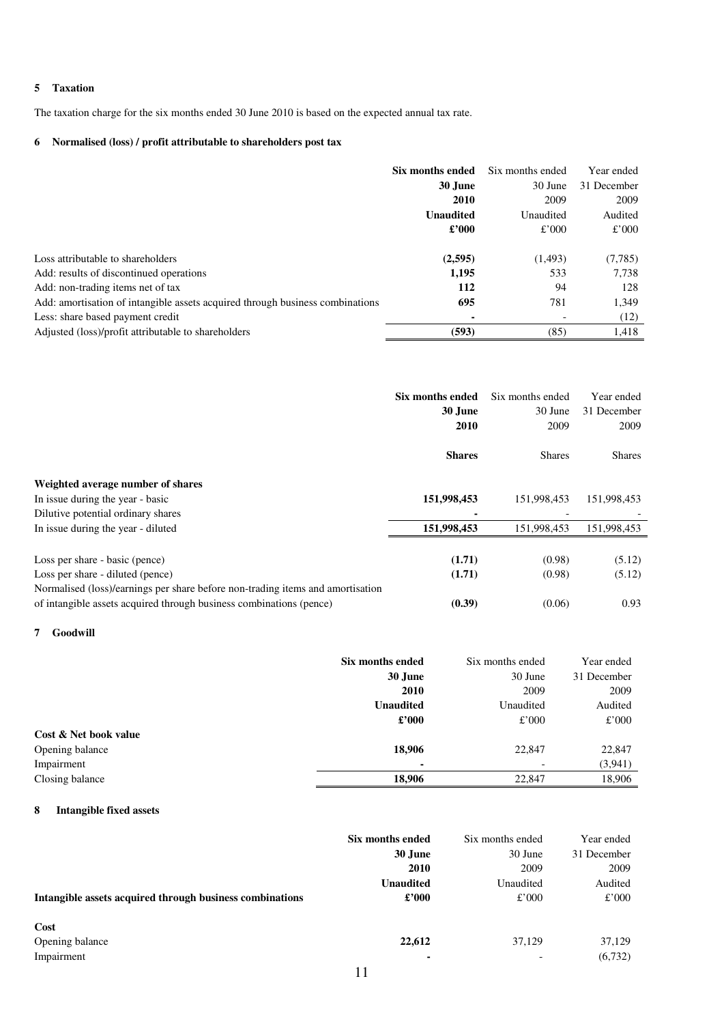### **5 Taxation**

The taxation charge for the six months ended 30 June 2010 is based on the expected annual tax rate.

### **6 Normalised (loss) / profit attributable to shareholders post tax**

|                                                                               | Six months ended | Six months ended | Year ended  |
|-------------------------------------------------------------------------------|------------------|------------------|-------------|
|                                                                               | 30 June          | 30 June          | 31 December |
|                                                                               | 2010             | 2009             | 2009        |
|                                                                               | Unaudited        | Unaudited        | Audited     |
|                                                                               | $\pounds$ '000   | £'000            | £'000       |
| Loss attributable to shareholders                                             | (2,595)          | (1,493)          | (7,785)     |
| Add: results of discontinued operations                                       | 1,195            | 533              | 7,738       |
| Add: non-trading items net of tax                                             | 112              | 94               | 128         |
| Add: amortisation of intangible assets acquired through business combinations | 695              | 781              | 1,349       |
| Less: share based payment credit                                              | ۰                |                  | (12)        |
| Adjusted (loss)/profit attributable to shareholders                           | (593)            | (85)             | 1,418       |

|                                                                                | Six months ended | Six months ended | Year ended    |
|--------------------------------------------------------------------------------|------------------|------------------|---------------|
|                                                                                | 30 June          | 30 June          | 31 December   |
|                                                                                | 2010             | 2009             | 2009          |
|                                                                                | <b>Shares</b>    | <b>Shares</b>    | <b>Shares</b> |
| Weighted average number of shares                                              |                  |                  |               |
| In issue during the year - basic                                               | 151,998,453      | 151,998,453      | 151,998,453   |
| Dilutive potential ordinary shares                                             |                  |                  |               |
| In issue during the year - diluted                                             | 151,998,453      | 151,998,453      | 151,998,453   |
|                                                                                |                  |                  |               |
| Loss per share - basic (pence)                                                 | (1.71)           | (0.98)           | (5.12)        |
| Loss per share - diluted (pence)                                               | (1.71)           | (0.98)           | (5.12)        |
| Normalised (loss)/earnings per share before non-trading items and amortisation |                  |                  |               |
| of intangible assets acquired through business combinations (pence)            | (0.39)           | (0.06)           | 0.93          |

### **7 Goodwill**

|                       | Six months ended | Six months ended         | Year ended  |
|-----------------------|------------------|--------------------------|-------------|
|                       | 30 June          | 30 June                  | 31 December |
|                       | 2010             | 2009                     | 2009        |
|                       | <b>Unaudited</b> | Unaudited                | Audited     |
|                       | $\pounds$ '000   | £'000                    | £'000       |
| Cost & Net book value |                  |                          |             |
| Opening balance       | 18,906           | 22,847                   | 22,847      |
| Impairment            | ٠                | $\overline{\phantom{0}}$ | (3, 941)    |
| Closing balance       | 18,906           | 22,847                   | 18,906      |

### **8 Intangible fixed assets**

|                                                          | Six months ended | Six months ended | Year ended  |
|----------------------------------------------------------|------------------|------------------|-------------|
|                                                          | 30 June          | 30 June          | 31 December |
|                                                          | 2010             | 2009             | 2009        |
|                                                          | <b>Unaudited</b> | Unaudited        | Audited     |
| Intangible assets acquired through business combinations | $\pounds$ '000   | £'000            | £'000       |
| Cost                                                     |                  |                  |             |
| Opening balance                                          | 22,612           | 37,129           | 37,129      |
| Impairment                                               | ۰                |                  | (6,732)     |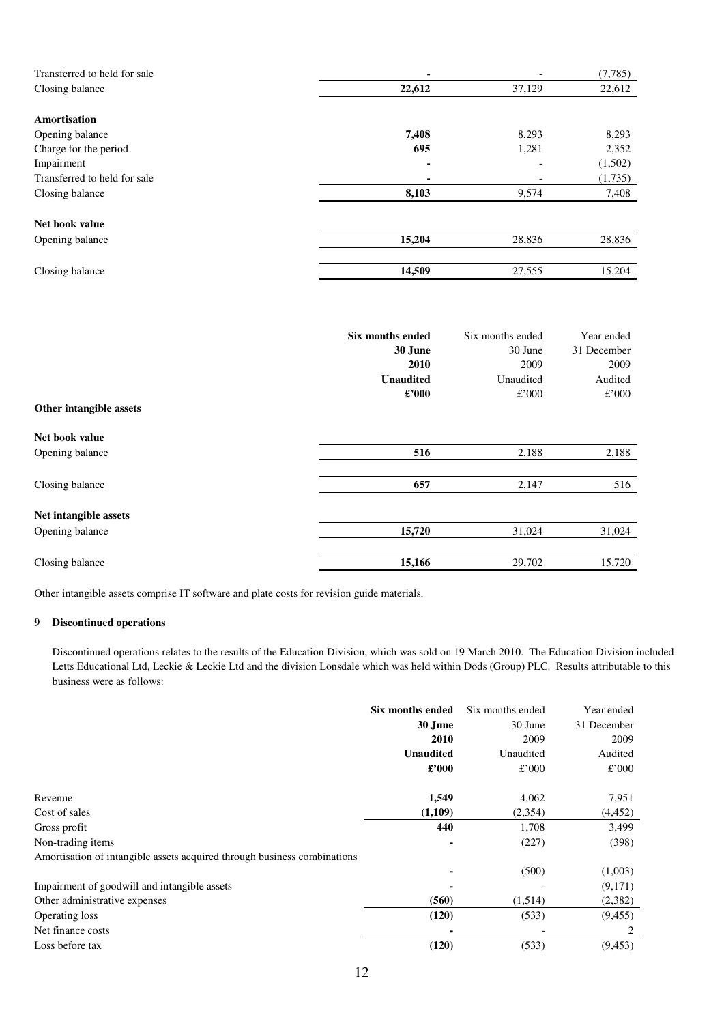| Transferred to held for sale | ٠      |        | (7,785) |
|------------------------------|--------|--------|---------|
| Closing balance              | 22,612 | 37,129 | 22,612  |
|                              |        |        |         |
| <b>Amortisation</b>          |        |        |         |
| Opening balance              | 7,408  | 8,293  | 8,293   |
| Charge for the period        | 695    | 1,281  | 2,352   |
| Impairment                   | ۰      |        | (1,502) |
| Transferred to held for sale |        |        | (1,735) |
| Closing balance              | 8,103  | 9,574  | 7,408   |
| Net book value               |        |        |         |
| Opening balance              | 15,204 | 28,836 | 28,836  |
|                              |        |        |         |
| Closing balance              | 14,509 | 27,555 | 15,204  |

| Other intangible assets | <b>Six months ended</b><br>30 June<br>2010<br><b>Unaudited</b><br>$\pounds$ '000 | Six months ended<br>30 June<br>2009<br>Unaudited<br>£'000 | Year ended<br>31 December<br>2009<br>Audited<br>£'000 |
|-------------------------|----------------------------------------------------------------------------------|-----------------------------------------------------------|-------------------------------------------------------|
| Net book value          |                                                                                  |                                                           |                                                       |
| Opening balance         | 516                                                                              | 2,188                                                     | 2,188                                                 |
| Closing balance         | 657                                                                              | 2,147                                                     | 516                                                   |
| Net intangible assets   |                                                                                  |                                                           |                                                       |
| Opening balance         | 15,720                                                                           | 31,024                                                    | 31,024                                                |
|                         |                                                                                  |                                                           |                                                       |
| Closing balance         | 15,166                                                                           | 29,702                                                    | 15,720                                                |

Other intangible assets comprise IT software and plate costs for revision guide materials.

### **9 Discontinued operations**

 Discontinued operations relates to the results of the Education Division, which was sold on 19 March 2010. The Education Division included Letts Educational Ltd, Leckie & Leckie Ltd and the division Lonsdale which was held within Dods (Group) PLC. Results attributable to this business were as follows:

|                                                                          | Six months ended<br>30 June<br>2010<br><b>Unaudited</b> | Six months ended<br>30 June<br>2009<br>Unaudited | Year ended<br>31 December<br>2009<br>Audited |
|--------------------------------------------------------------------------|---------------------------------------------------------|--------------------------------------------------|----------------------------------------------|
|                                                                          | $\pounds$ '000                                          | £'000                                            | £'000                                        |
| Revenue                                                                  | 1,549                                                   | 4,062                                            | 7,951                                        |
| Cost of sales                                                            | (1,109)                                                 | (2,354)                                          | (4, 452)                                     |
| Gross profit                                                             | 440                                                     | 1,708                                            | 3,499                                        |
| Non-trading items                                                        |                                                         | (227)                                            | (398)                                        |
| Amortisation of intangible assets acquired through business combinations |                                                         |                                                  |                                              |
|                                                                          |                                                         | (500)                                            | (1,003)                                      |
| Impairment of goodwill and intangible assets                             |                                                         |                                                  | (9,171)                                      |
| Other administrative expenses                                            | (560)                                                   | (1,514)                                          | (2,382)                                      |
| Operating loss                                                           | (120)                                                   | (533)                                            | (9, 455)                                     |
| Net finance costs                                                        |                                                         |                                                  |                                              |
| Loss before tax                                                          | (120)                                                   | (533)                                            | (9, 453)                                     |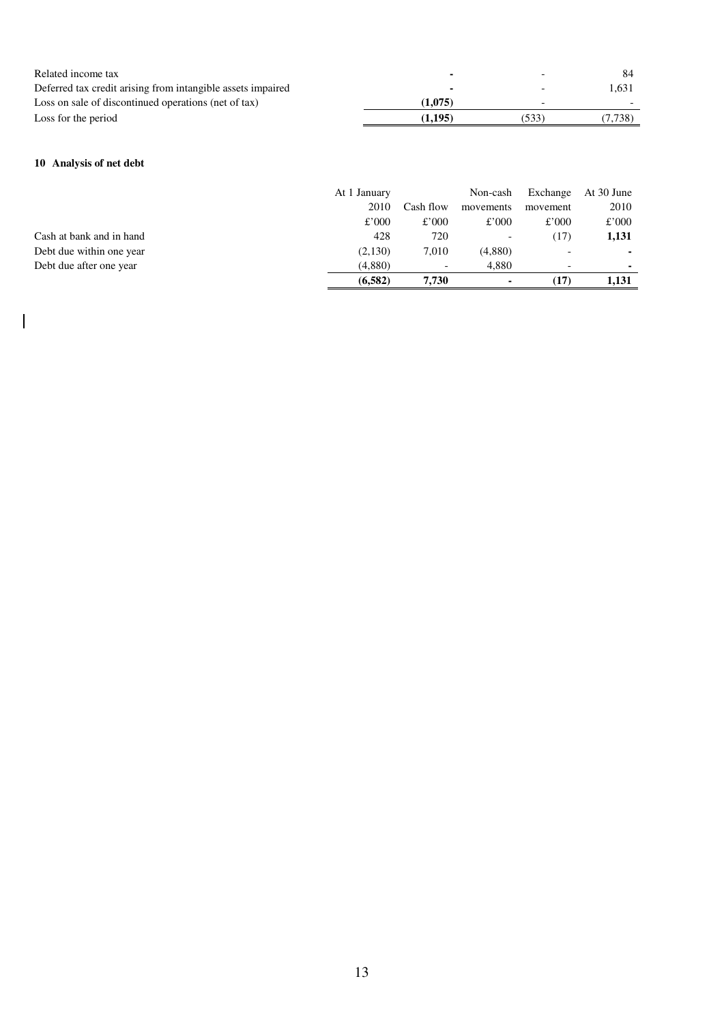| Related income tax                                          |         |       |         |
|-------------------------------------------------------------|---------|-------|---------|
| Deferred tax credit arising from intangible assets impaired |         |       | 1.631   |
| Loss on sale of discontinued operations (net of tax)        | (1,075) |       |         |
| Loss for the period                                         | (1.195) | (533) | (7.738) |

# **10 Analysis of net debt**

 $\overline{\phantom{a}}$ 

|                          | At 1 January |           | Non-cash                 | Exchange | At 30 June |
|--------------------------|--------------|-----------|--------------------------|----------|------------|
|                          | 2010         | Cash flow | movements                | movement | 2010       |
|                          | £'000        | £'000     | £'000                    | £'000    | £'000      |
| Cash at bank and in hand | 428          | 720       | $\overline{\phantom{0}}$ | (17)     | 1,131      |
| Debt due within one year | (2,130)      | 7.010     | (4,880)                  |          |            |
| Debt due after one year  | (4,880)      |           | 4.880                    |          |            |
|                          | (6, 582)     | 7.730     |                          | (17)     | 1.131      |